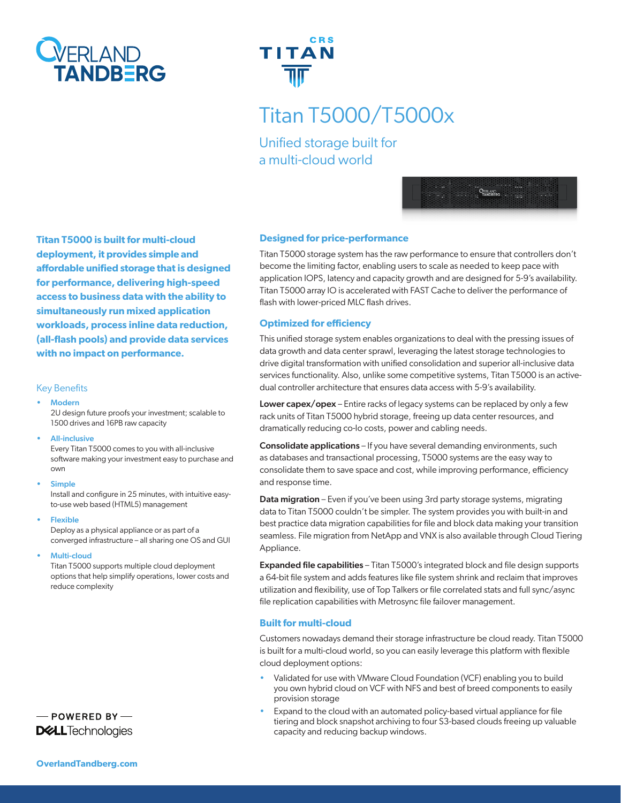



# Titan T5000/T5000x

Unified storage built for a multi-cloud world



**Titan T5000 is built for multi-cloud deployment, it provides simple and affordable unified storage that is designed for performance, delivering high-speed access to business data with the ability to simultaneously run mixed application workloads, process inline data reduction, (all-flash pools) and provide data services with no impact on performance.**

#### Key Benefits

**Modern** 

2U design future proofs your investment; scalable to 1500 drives and 16PB raw capacity

• All-inclusive

Every Titan T5000 comes to you with all-inclusive software making your investment easy to purchase and own

**Simple** 

Install and configure in 25 minutes, with intuitive easyto-use web based (HTML5) management

• Flexible

Deploy as a physical appliance or as part of a converged infrastructure – all sharing one OS and GUI

Multi-cloud

Titan T5000 supports multiple cloud deployment options that help simplify operations, lower costs and reduce complexity

- POWERED BY-**DELL**Technologies

#### **Designed for price-performance**

Titan T5000 storage system has the raw performance to ensure that controllers don't become the limiting factor, enabling users to scale as needed to keep pace with application IOPS, latency and capacity growth and are designed for 5-9's availability. Titan T5000 array IO is accelerated with FAST Cache to deliver the performance of flash with lower-priced MLC flash drives.

#### **Optimized for efficiency**

This unified storage system enables organizations to deal with the pressing issues of data growth and data center sprawl, leveraging the latest storage technologies to drive digital transformation with unified consolidation and superior all-inclusive data services functionality. Also, unlike some competitive systems, Titan T5000 is an activedual controller architecture that ensures data access with 5-9's availability.

Lower capex/opex – Entire racks of legacy systems can be replaced by only a few rack units of Titan T5000 hybrid storage, freeing up data center resources, and dramatically reducing co-lo costs, power and cabling needs.

Consolidate applications – If you have several demanding environments, such as databases and transactional processing, T5000 systems are the easy way to consolidate them to save space and cost, while improving performance, efficiency and response time.

Data migration - Even if you've been using 3rd party storage systems, migrating data to Titan T5000 couldn't be simpler. The system provides you with built-in and best practice data migration capabilities for file and block data making your transition seamless. File migration from NetApp and VNX is also available through Cloud Tiering Appliance.

Expanded file capabilities – Titan T5000's integrated block and file design supports a 64-bit file system and adds features like file system shrink and reclaim that improves utilization and flexibility, use of Top Talkers or file correlated stats and full sync/async file replication capabilities with Metrosync file failover management.

#### **Built for multi-cloud**

Customers nowadays demand their storage infrastructure be cloud ready. Titan T5000 is built for a multi-cloud world, so you can easily leverage this platform with flexible cloud deployment options:

- Validated for use with VMware Cloud Foundation (VCF) enabling you to build you own hybrid cloud on VCF with NFS and best of breed components to easily provision storage
- Expand to the cloud with an automated policy-based virtual appliance for file tiering and block snapshot archiving to four S3-based clouds freeing up valuable capacity and reducing backup windows.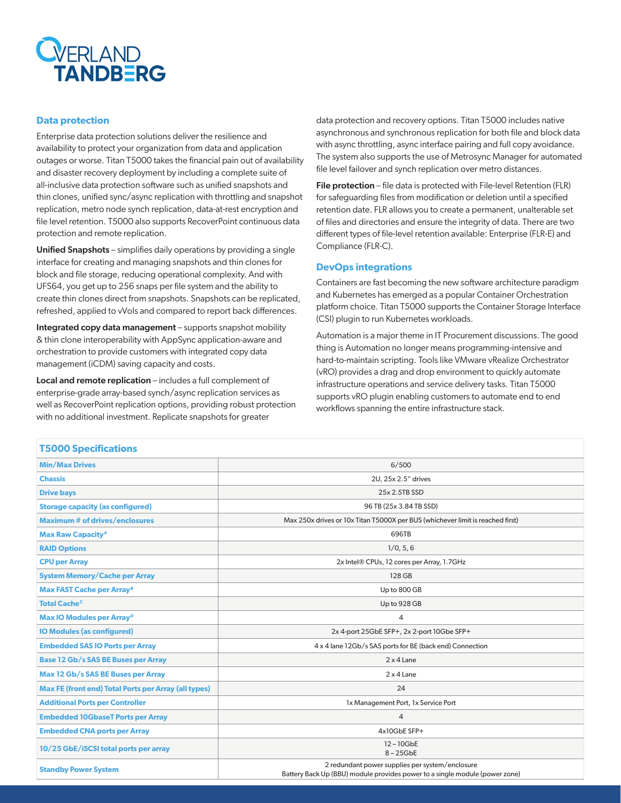

#### **Data protection**

Enterprise data protection solutions deliver the resilience and availability to protect your organization from data and application outages or worse. Titan T5000 takes the financial pain out of availability and disaster recovery deployment by including a complete suite of all-inclusive data protection software such as unified snapshots and thin clones, unified sync/async replication with throttling and snapshot replication, metro node synch replication, data-at-rest encryption and file level retention. T5000 also supports RecoverPoint continuous data protection and remote replication.

Unified Snapshots - simplifies daily operations by providing a single interface for creating and managing snapshots and thin clones for block and file storage, reducing operational complexity. And with UFS64, you get up to 256 snaps per file system and the ability to create thin clones direct from snapshots. Snapshots can be replicated, refreshed, applied to vVols and compared to report back differences.

Integrated copy data management – supports snapshot mobility & thin clone interoperability with AppSync application-aware and orchestration to provide customers with integrated copy data management (iCDM) saving capacity and costs.

Local and remote replication – includes a full complement of enterprise-grade array-based synch/async replication services as well as RecoverPoint replication options, providing robust protection with no additional investment. Replicate snapshots for greater

data protection and recovery options. Titan T5000 includes native asynchronous and synchronous replication for both file and block data with async throttling, async interface pairing and full copy avoidance. The system also supports the use of Metrosync Manager for automated file level failover and synch replication over metro distances.

File protection – file data is protected with File-level Retention (FLR) for safeguarding files from modification or deletion until a specified retention date. FLR allows you to create a permanent, unalterable set of files and directories and ensure the integrity of data. There are two different types of file-level retention available: Enterprise (FLR-E) and Compliance (FLR-C).

#### **DevOps integrations**

Containers are fast becoming the new software architecture paradigm and Kubernetes has emerged as a popular Container Orchestration platform choice. Titan T5000 supports the Container Storage Interface (CSI) plugin to run Kubernetes workloads.

Automation is a major theme in IT Procurement discussions. The good thing is Automation no longer means programming-intensive and hard-to-maintain scripting. Tools like VMware vRealize Orchestrator (vRO) provides a drag and drop environment to quickly automate infrastructure operations and service delivery tasks. Titan T5000 supports vRO plugin enabling customers to automate end to end workflows spanning the entire infrastructure stack.

| <b>T5000 Specifications</b>                                 |                                                                                                                                |
|-------------------------------------------------------------|--------------------------------------------------------------------------------------------------------------------------------|
| <b>Min/Max Drives</b>                                       | 6/500                                                                                                                          |
| <b>Chassis</b>                                              | 2U, 25x 2.5" drives                                                                                                            |
| <b>Drive bays</b>                                           | 25x 2.5TB SSD                                                                                                                  |
| <b>Storage capacity (as configured)</b>                     | 96 TB (25x 3.84 TB SSD)                                                                                                        |
| <b>Maximum # of drives/enclosures</b>                       | Max 250x drives or 10x Titan T5000X per BUS (whichever limit is reached first)                                                 |
| <b>Max Raw Capacity<sup>A</sup></b>                         | 696TB                                                                                                                          |
| <b>RAID Options</b>                                         | 1/0, 5, 6                                                                                                                      |
| <b>CPU per Array</b>                                        | 2x Intel® CPUs, 12 cores per Array, 1.7GHz                                                                                     |
| <b>System Memory/Cache per Array</b>                        | 128 GB                                                                                                                         |
| <b>Max FAST Cache per Array<sup>B</sup></b>                 | Up to 800 GB                                                                                                                   |
| <b>Total Cache<sup>c</sup></b>                              | Up to 928 GB                                                                                                                   |
| Max IO Modules per Array <sup>D</sup>                       | $\overline{4}$                                                                                                                 |
| <b>IO Modules (as configured)</b>                           | 2x 4-port 25GbE SFP+, 2x 2-port 10Gbe SFP+                                                                                     |
| <b>Embedded SAS IO Ports per Array</b>                      | 4 x 4 lane 12Gb/s SAS ports for BE (back end) Connection                                                                       |
| Base 12 Gb/s SAS BE Buses per Array                         | $2 \times 4$ Lane                                                                                                              |
| Max 12 Gb/s SAS BE Buses per Array                          | $2 \times 4$ Lane                                                                                                              |
| <b>Max FE (front end) Total Ports per Array (all types)</b> | 24                                                                                                                             |
| <b>Additional Ports per Controller</b>                      | 1x Management Port, 1x Service Port                                                                                            |
| <b>Embedded 10GbaseT Ports per Array</b>                    | $\overline{4}$                                                                                                                 |
| <b>Embedded CNA ports per Array</b>                         | 4x10GbE SFP+                                                                                                                   |
| 10/25 GbE/iSCSI total ports per array                       | 12-10GbE<br>$8 - 25$ GbE                                                                                                       |
| <b>Standby Power System</b>                                 | 2 redundant power supplies per system/enclosure<br>Battery Back Up (BBU) module provides power to a single module (power zone) |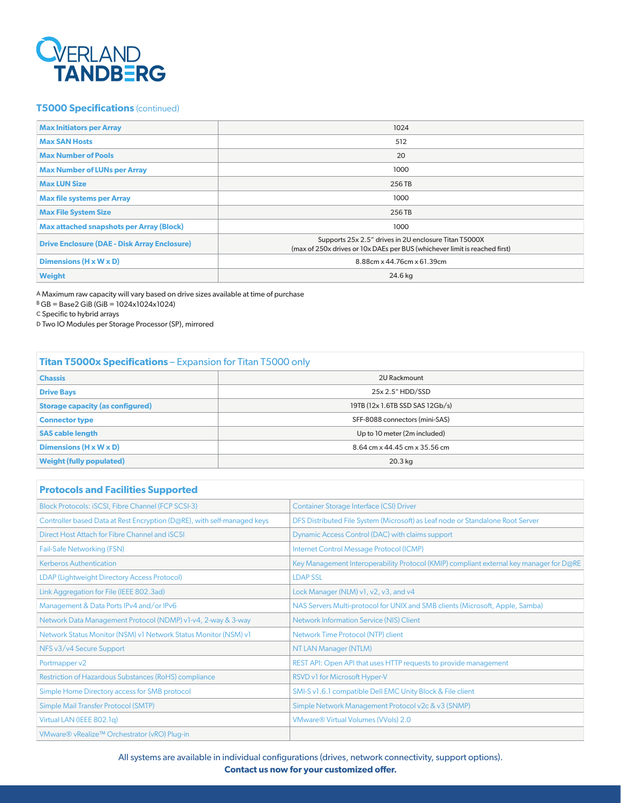

## **T5000 Specifications** (continued)

| <b>Max Initiators per Array</b>                     | 1024                                                                                                                                |
|-----------------------------------------------------|-------------------------------------------------------------------------------------------------------------------------------------|
| <b>Max SAN Hosts</b>                                | 512                                                                                                                                 |
| <b>Max Number of Pools</b>                          | 20                                                                                                                                  |
| <b>Max Number of LUNs per Array</b>                 | 1000                                                                                                                                |
| <b>Max LUN Size</b>                                 | 256 TB                                                                                                                              |
| <b>Max file systems per Array</b>                   | 1000                                                                                                                                |
| <b>Max File System Size</b>                         | 256 TB                                                                                                                              |
| <b>Max attached snapshots per Array (Block)</b>     | 1000                                                                                                                                |
| <b>Drive Enclosure (DAE - Disk Array Enclosure)</b> | Supports 25x 2.5" drives in 2U enclosure Titan T5000X<br>(max of 250x drives or 10x DAEs per BUS (whichever limit is reached first) |
| Dimensions $(H \times W \times D)$                  | 8.88cm x 44.76cm x 61.39cm                                                                                                          |
| <b>Weight</b>                                       | 24.6 kg                                                                                                                             |

A Maximum raw capacity will vary based on drive sizes available at time of purchase

 $B GB = Base2 GiB (GiB = 1024x1024x1024)$ 

C Specific to hybrid arrays

D Two IO Modules per Storage Processor (SP), mirrored

# **Titan T5000x Specifications** – Expansion for Titan T5000 only

| <b>Chassis</b>                          | 2U Rackmount                    |
|-----------------------------------------|---------------------------------|
| <b>Drive Bays</b>                       | 25x 2.5" HDD/SSD                |
| <b>Storage capacity (as configured)</b> | 19TB (12x 1.6TB SSD SAS 12Gb/s) |
| <b>Connector type</b>                   | SFF-8088 connectors (mini-SAS)  |
| <b>SAS cable length</b>                 | Up to 10 meter (2m included)    |
| Dimensions $(H \times W \times D)$      | 8.64 cm x 44.45 cm x 35.56 cm   |
| <b>Weight (fully populated)</b>         | $20.3$ kg                       |
|                                         |                                 |

### **Protocols and Facilities Supported**

| Block Protocols: iSCSI, Fibre Channel (FCP SCSI-3)                      | <b>Container Storage Interface (CSI) Driver</b>                                         |
|-------------------------------------------------------------------------|-----------------------------------------------------------------------------------------|
| Controller based Data at Rest Encryption (D@RE), with self-managed keys | DFS Distributed File System (Microsoft) as Leaf node or Standalone Root Server          |
| Direct Host Attach for Fibre Channel and <i>SCSI</i>                    | Dynamic Access Control (DAC) with claims support                                        |
| Fail-Safe Networking (FSN)                                              | Internet Control Message Protocol (ICMP)                                                |
| <b>Kerberos Authentication</b>                                          | Key Management Interoperability Protocol (KMIP) compliant external key manager for D@RE |
| LDAP (Lightweight Directory Access Protocol)                            | <b>LDAP SSL</b>                                                                         |
| Link Aggregation for File (IEEE 802.3ad)                                | Lock Manager (NLM) v1, v2, v3, and v4                                                   |
| Management & Data Ports IPv4 and/or IPv6                                | NAS Servers Multi-protocol for UNIX and SMB clients (Microsoft, Apple, Samba)           |
| Network Data Management Protocol (NDMP) v1-v4, 2-way & 3-way            | Network Information Service (NIS) Client                                                |
| Network Status Monitor (NSM) v1 Network Status Monitor (NSM) v1         | Network Time Protocol (NTP) client                                                      |
| NFS v3/v4 Secure Support                                                | NT LAN Manager (NTLM)                                                                   |
| Portmapper v2                                                           | REST API: Open API that uses HTTP requests to provide management                        |
| Restriction of Hazardous Substances (RoHS) compliance                   | RSVD v1 for Microsoft Hyper-V                                                           |
| Simple Home Directory access for SMB protocol                           | SMI-S v1.6.1 compatible Dell EMC Unity Block & File client                              |
| Simple Mail Transfer Protocol (SMTP)                                    | Simple Network Management Protocol v2c & v3 (SNMP)                                      |
| Virtual LAN (IEEE 802.1q)                                               | <b>VMware® Virtual Volumes (Wols) 2.0</b>                                               |
| VMware® vRealize™ Orchestrator (vRO) Plug-in                            |                                                                                         |

All systems are available in individual configurations (drives, network connectivity, support options). **Contact us now for your customized offer.**